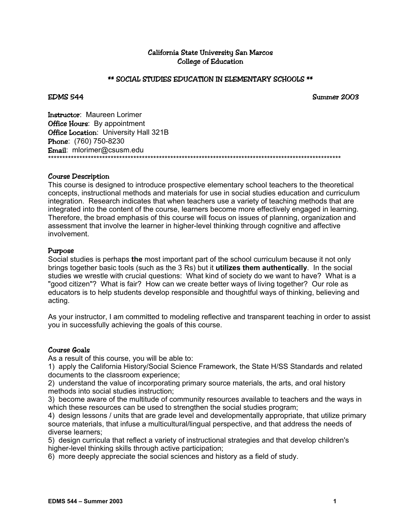# California State University San Marcos College of Education

### \*\* SOCIAL STUDIES EDUCATION IN ELEMENTARY SCHOOLS \*\*

EDMS 544 Summer 2003

Instructor: Maureen Lorimer **Office Hours:** By appointment **Office Location:** University Hall 321B Phone: (760) 750-8230 Email: mlorimer@csusm.edu \*\*\*\*\*\*\*\*\*\*\*\*\*\*\*\*\*\*\*\*\*\*\*\*\*\*\*\*\*\*\*\*\*\*\*\*\*\*\*\*\*\*\*\*\*\*\*\*\*\*\*\*\*\*\*\*\*\*\*\*\*\*\*\*\*\*\*\*\*\*\*\*\*\*\*\*\*\*\*\*\*\*\*\*\*\*\*\*\*\*\*\*\*\*\*\*\*\*\*\*\*\*\*

### Course Description

This course is designed to introduce prospective elementary school teachers to the theoretical concepts, instructional methods and materials for use in social studies education and curriculum integration. Research indicates that when teachers use a variety of teaching methods that are integrated into the content of the course, learners become more effectively engaged in learning. Therefore, the broad emphasis of this course will focus on issues of planning, organization and assessment that involve the learner in higher-level thinking through cognitive and affective involvement.

### Purpose

Social studies is perhaps **the** most important part of the school curriculum because it not only brings together basic tools (such as the 3 Rs) but it **utilizes them authentically**. In the social studies we wrestle with crucial questions: What kind of society do we want to have? What is a "good citizen"? What is fair? How can we create better ways of living together? Our role as educators is to help students develop responsible and thoughtful ways of thinking, believing and acting.

As your instructor, I am committed to modeling reflective and transparent teaching in order to assist you in successfully achieving the goals of this course.

### Course Goals

As a result of this course, you will be able to:

1) apply the California History/Social Science Framework, the State H/SS Standards and related documents to the classroom experience;

2) understand the value of incorporating primary source materials, the arts, and oral history methods into social studies instruction;

3) become aware of the multitude of community resources available to teachers and the ways in which these resources can be used to strengthen the social studies program;

4) design lessons / units that are grade level and developmentally appropriate, that utilize primary source materials, that infuse a multicultural/lingual perspective, and that address the needs of diverse learners;

5) design curricula that reflect a variety of instructional strategies and that develop children's higher-level thinking skills through active participation;

6) more deeply appreciate the social sciences and history as a field of study.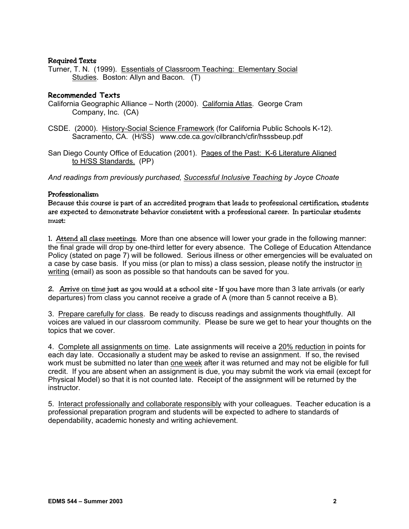# Required Texts

Turner, T. N. (1999). Essentials of Classroom Teaching: Elementary Social Studies. Boston: Allyn and Bacon. (T)

# **Recommended Texts**

- California Geographic Alliance North (2000). California Atlas. George Cram Company, Inc. (CA)
- CSDE. (2000). History-Social Science Framework (for California Public Schools K-12). Sacramento, CA. (H/SS) www.cde.ca.gov/cilbranch/cfir/hsssbeup.pdf
- San Diego County Office of Education (2001). Pages of the Past: K-6 Literature Aligned to H/SS Standards. (PP)

*And readings from previously purchased, Successful Inclusive Teaching by Joyce Choate* 

# Professionalism

Because this course is part of an accredited program that leads to professional certification, students are expected to demonstrate behavior consistent with a professional career. In particular students must:

1. Attend all class meetings. More than one absence will lower your grade in the following manner: the final grade will drop by one-third letter for every absence. The College of Education Attendance Policy (stated on page 7) will be followed. Serious illness or other emergencies will be evaluated on a case by case basis. If you miss (or plan to miss) a class session, please notify the instructor in writing (email) as soon as possible so that handouts can be saved for you.

2. Arrive on time just as you would at a school site – If you have more than 3 late arrivals (or early departures) from class you cannot receive a grade of A (more than 5 cannot receive a B).

3. Prepare carefully for class. Be ready to discuss readings and assignments thoughtfully. All voices are valued in our classroom community. Please be sure we get to hear your thoughts on the topics that we cover.

4. Complete all assignments on time. Late assignments will receive a 20% reduction in points for each day late. Occasionally a student may be asked to revise an assignment. If so, the revised work must be submitted no later than one week after it was returned and may not be eligible for full credit. If you are absent when an assignment is due, you may submit the work via email (except for Physical Model) so that it is not counted late. Receipt of the assignment will be returned by the instructor.

5. Interact professionally and collaborate responsibly with your colleagues. Teacher education is a professional preparation program and students will be expected to adhere to standards of dependability, academic honesty and writing achievement.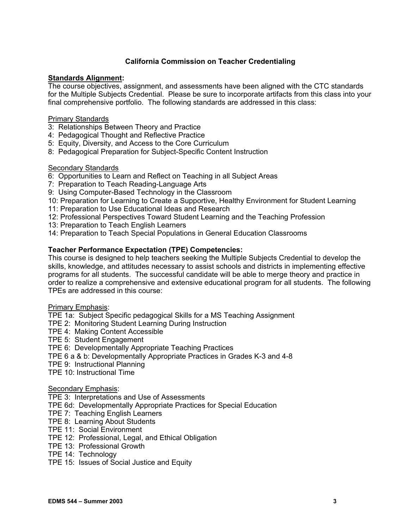# **California Commission on Teacher Credentialing**

### **Standards Alignment:**

The course objectives, assignment, and assessments have been aligned with the CTC standards for the Multiple Subjects Credential. Please be sure to incorporate artifacts from this class into your final comprehensive portfolio. The following standards are addressed in this class:

### Primary Standards

- 3: Relationships Between Theory and Practice
- 4: Pedagogical Thought and Reflective Practice
- 5: Equity, Diversity, and Access to the Core Curriculum
- 8: Pedagogical Preparation for Subject-Specific Content Instruction

### **Secondary Standards**

- 6: Opportunities to Learn and Reflect on Teaching in all Subject Areas
- 7: Preparation to Teach Reading-Language Arts
- 9: Using Computer-Based Technology in the Classroom
- 10: Preparation for Learning to Create a Supportive, Healthy Environment for Student Learning
- 11: Preparation to Use Educational Ideas and Research
- 12: Professional Perspectives Toward Student Learning and the Teaching Profession
- 13: Preparation to Teach English Learners
- 14: Preparation to Teach Special Populations in General Education Classrooms

### **Teacher Performance Expectation (TPE) Competencies:**

This course is designed to help teachers seeking the Multiple Subjects Credential to develop the skills, knowledge, and attitudes necessary to assist schools and districts in implementing effective programs for all students. The successful candidate will be able to merge theory and practice in order to realize a comprehensive and extensive educational program for all students. The following TPEs are addressed in this course:

### Primary Emphasis:

- TPE 1a: Subject Specific pedagogical Skills for a MS Teaching Assignment
- TPE 2: Monitoring Student Learning During Instruction
- TPE 4: Making Content Accessible
- TPE 5: Student Engagement
- TPE 6: Developmentally Appropriate Teaching Practices
- TPE 6 a & b: Developmentally Appropriate Practices in Grades K-3 and 4-8
- TPE 9: Instructional Planning
- TPE 10: Instructional Time

### Secondary Emphasis:

- TPE 3: Interpretations and Use of Assessments
- TPE 6d: Developmentally Appropriate Practices for Special Education
- TPE 7: Teaching English Learners
- TPE 8: Learning About Students
- TPE 11: Social Environment
- TPE 12: Professional, Legal, and Ethical Obligation
- TPE 13: Professional Growth
- TPE 14: Technology
- TPE 15: Issues of Social Justice and Equity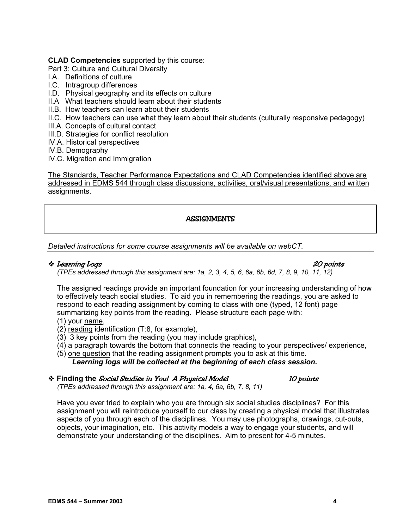# **CLAD Competencies** supported by this course:

Part 3: Culture and Cultural Diversity

- I.A. Definitions of culture
- I.C. Intragroup differences
- I.D. Physical geography and its effects on culture
- II.A What teachers should learn about their students
- II.B. How teachers can learn about their students
- II.C. How teachers can use what they learn about their students (culturally responsive pedagogy)
- III.A. Concepts of cultural contact
- III.D. Strategies for conflict resolution
- IV.A. Historical perspectives
- IV.B. Demography
- IV.C. Migration and Immigration

The Standards, Teacher Performance Expectations and CLAD Competencies identified above are addressed in EDMS 544 through class discussions, activities, oral/visual presentations, and written assignments.

# **ASSIGNMENTS**

*Detailed instructions for some course assignments will be available on webCT.* 

# Learning Logs 20 points

*(TPEs addressed through this assignment are: 1a, 2, 3, 4, 5, 6, 6a, 6b, 6d, 7, 8, 9, 10, 11, 12)* 

The assigned readings provide an important foundation for your increasing understanding of how to effectively teach social studies. To aid you in remembering the readings, you are asked to respond to each reading assignment by coming to class with one (typed, 12 font) page summarizing key points from the reading. Please structure each page with:

- (1) your name,
- (2) reading identification (T:8, for example),
- (3) 3 key points from the reading (you may include graphics),
- (4) a paragraph towards the bottom that connects the reading to your perspectives/ experience,
- (5) one question that the reading assignment prompts you to ask at this time. *Learning logs will be collected at the beginning of each class session.*

# **Example 10 Finding the Social Studies in You! A Physical Model 4 Notation 10 points**

*(TPEs addressed through this assignment are: 1a, 4, 6a, 6b, 7, 8, 11)* 

Have you ever tried to explain who you are through six social studies disciplines? For this assignment you will reintroduce yourself to our class by creating a physical model that illustrates aspects of you through each of the disciplines. You may use photographs, drawings, cut-outs, objects, your imagination, etc. This activity models a way to engage your students, and will demonstrate your understanding of the disciplines. Aim to present for 4-5 minutes.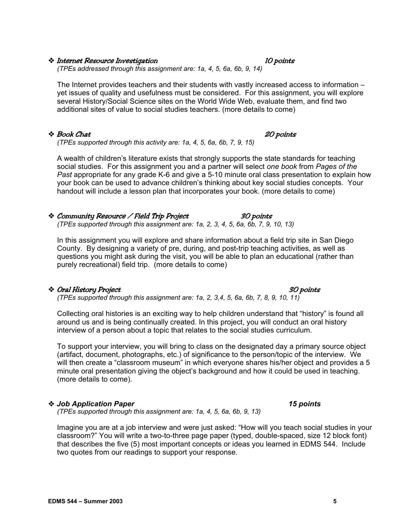# \* Internet Resource Investigation the contraction of the IO points

*(TPEs addressed through this assignment are: 1a, 4, 5, 6a, 6b, 9, 14)* 

The Internet provides teachers and their students with vastly increased access to information – yet issues of quality and usefulness must be considered. For this assignment, you will explore several History/Social Science sites on the World Wide Web, evaluate them, and find two additional sites of value to social studies teachers. (more details to come)

### ◆ Book Chat 20 points

*(TPEs supported through this activity are: 1a, 4, 5, 6a, 6b, 7, 9, 15)* 

A wealth of children's literature exists that strongly supports the state standards for teaching social studies. For this assignment you and a partner will select *one book* from *Pages of the Past* appropriate for any grade K-6 and give a 5-10 minute oral class presentation to explain how your book can be used to advance children's thinking about key social studies concepts. Your handout will include a lesson plan that incorporates your book. (more details to come)

### Community Resource / Field Trip Project 30 points *(TPEs supported through this assignment are: 1a, 2, 3, 4, 5, 6a, 6b, 7, 9, 10, 13)*

In this assignment you will explore and share information about a field trip site in San Diego County. By designing a variety of pre, during, and post-trip teaching activities, as well as questions you might ask during the visit, you will be able to plan an educational (rather than purely recreational) field trip. (more details to come)

### \* Oral History Project 30 points

*(TPEs supported through this assignment are: 1a, 2, 3,4, 5, 6a, 6b, 7, 8, 9, 10, 11)* 

Collecting oral histories is an exciting way to help children understand that "history" is found all around us and is being continually created. In this project, you will conduct an oral history interview of a person about a topic that relates to the social studies curriculum.

To support your interview, you will bring to class on the designated day a primary source object (artifact, document, photographs, etc.) of significance to the person/topic of the interview. We will then create a "classroom museum" in which everyone shares his/her object and provides a 5 minute oral presentation giving the object's background and how it could be used in teaching. (more details to come).

# *Job Application Paper**15 points*

*(TPEs supported through this assignment are: 1a, 4, 5, 6a, 6b, 9, 13)* 

Imagine you are at a job interview and were just asked: "How will you teach social studies in your classroom?" You will write a two-to-three page paper (typed, double-spaced, size 12 block font) that describes the five (5) most important concepts or ideas you learned in EDMS 544. Include two quotes from our readings to support your response.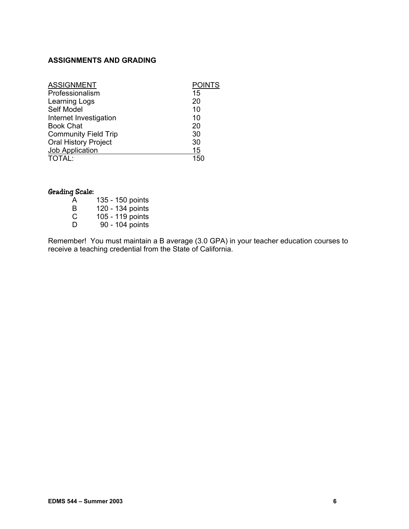# **ASSIGNMENTS AND GRADING**

| <b>ASSIGNMENT</b>           | <b>POINTS</b> |
|-----------------------------|---------------|
| Professionalism             | 15            |
| Learning Logs               | 20            |
| Self Model                  | 10            |
| Internet Investigation      | 10            |
| <b>Book Chat</b>            | 20            |
| <b>Community Field Trip</b> | 30            |
| <b>Oral History Project</b> | 30            |
| Job Application             | <u> 15</u>    |
| <b>TOTAL:</b>               | 150           |

# Grading Scale:

| A            | 135 - 150 points                                                      |
|--------------|-----------------------------------------------------------------------|
| B            | 120 - 134 points                                                      |
| C            | 105 - 119 points                                                      |
| <sup>n</sup> | $\bigcap$ $\bigcap$ $\bigcap$ $\bigcap$ $\bigcap$ $\bigcap$ $\bigcap$ |

D 90 - 104 points

Remember! You must maintain a B average (3.0 GPA) in your teacher education courses to receive a teaching credential from the State of California.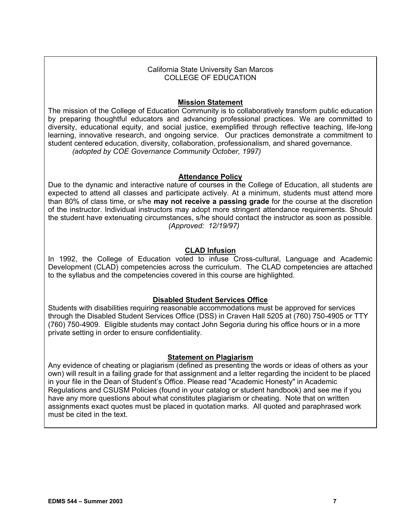### California State University San Marcos COLLEGE OF EDUCATION

# **Mission Statement**

The mission of the College of Education Community is to collaboratively transform public education by preparing thoughtful educators and advancing professional practices. We are committed to diversity, educational equity, and social justice, exemplified through reflective teaching, life-long learning, innovative research, and ongoing service. Our practices demonstrate a commitment to student centered education, diversity, collaboration, professionalism, and shared governance. *(adopted by COE Governance Community October, 1997)*

# **Attendance Policy**

Due to the dynamic and interactive nature of courses in the College of Education, all students are expected to attend all classes and participate actively. At a minimum, students must attend more than 80% of class time, or s/he **may not receive a passing grade** for the course at the discretion of the instructor. Individual instructors may adopt more stringent attendance requirements. Should the student have extenuating circumstances, s/he should contact the instructor as soon as possible. *(Approved: 12/19/97)*

# **CLAD Infusion**

In 1992, the College of Education voted to infuse Cross-cultural, Language and Academic Development (CLAD) competencies across the curriculum. The CLAD competencies are attached to the syllabus and the competencies covered in this course are highlighted.

# **Disabled Student Services Office**

Students with disabilities requiring reasonable accommodations must be approved for services through the Disabled Student Services Office (DSS) in Craven Hall 5205 at (760) 750-4905 or TTY (760) 750-4909. Eligible students may contact John Segoria during his office hours or in a more private setting in order to ensure confidentiality.

# **Statement on Plagiarism**

Any evidence of cheating or plagiarism (defined as presenting the words or ideas of others as your own) will result in a failing grade for that assignment and a letter regarding the incident to be placed in your file in the Dean of Student's Office. Please read "Academic Honesty" in Academic Regulations and CSUSM Policies (found in your catalog or student handbook) and see me if you have any more questions about what constitutes plagiarism or cheating. Note that on written assignments exact quotes must be placed in quotation marks. All quoted and paraphrased work must be cited in the text.